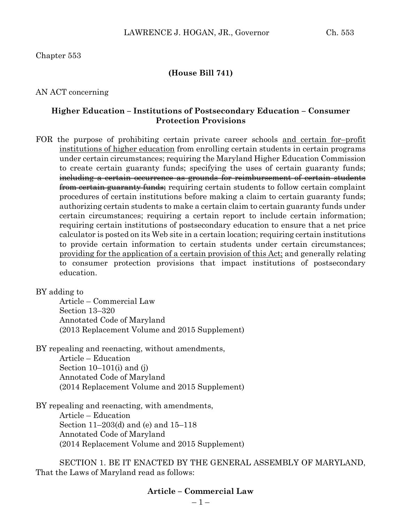#### Chapter 553

#### **(House Bill 741)**

AN ACT concerning

#### **Higher Education – Institutions of Postsecondary Education – Consumer Protection Provisions**

FOR the purpose of prohibiting certain private career schools and certain for-profit institutions of higher education from enrolling certain students in certain programs under certain circumstances; requiring the Maryland Higher Education Commission to create certain guaranty funds; specifying the uses of certain guaranty funds; including a certain occurrence as grounds for reimbursement of certain students **from certain guaranty funds**; requiring certain students to follow certain complaint procedures of certain institutions before making a claim to certain guaranty funds; authorizing certain students to make a certain claim to certain guaranty funds under certain circumstances; requiring a certain report to include certain information; requiring certain institutions of postsecondary education to ensure that a net price calculator is posted on its Web site in a certain location; requiring certain institutions to provide certain information to certain students under certain circumstances; providing for the application of a certain provision of this Act; and generally relating to consumer protection provisions that impact institutions of postsecondary education.

BY adding to

Article – Commercial Law Section 13–320 Annotated Code of Maryland (2013 Replacement Volume and 2015 Supplement)

BY repealing and reenacting, without amendments, Article – Education Section  $10-101(i)$  and  $(i)$ Annotated Code of Maryland (2014 Replacement Volume and 2015 Supplement)

BY repealing and reenacting, with amendments, Article – Education Section 11–203(d) and (e) and 15–118 Annotated Code of Maryland (2014 Replacement Volume and 2015 Supplement)

SECTION 1. BE IT ENACTED BY THE GENERAL ASSEMBLY OF MARYLAND, That the Laws of Maryland read as follows:

#### **Article – Commercial Law**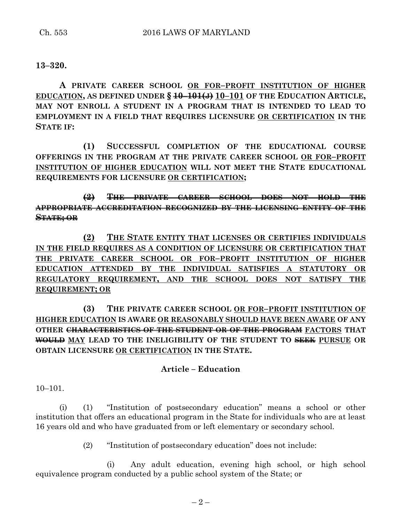#### **13–320.**

**A PRIVATE CAREER SCHOOL OR FOR–PROFIT INSTITUTION OF HIGHER EDUCATION, AS DEFINED UNDER § 10–101(J) 10–101 OF THE EDUCATION ARTICLE, MAY NOT ENROLL A STUDENT IN A PROGRAM THAT IS INTENDED TO LEAD TO EMPLOYMENT IN A FIELD THAT REQUIRES LICENSURE OR CERTIFICATION IN THE STATE IF:**

**(1) SUCCESSFUL COMPLETION OF THE EDUCATIONAL COURSE OFFERINGS IN THE PROGRAM AT THE PRIVATE CAREER SCHOOL OR FOR–PROFIT INSTITUTION OF HIGHER EDUCATION WILL NOT MEET THE STATE EDUCATIONAL REQUIREMENTS FOR LICENSURE OR CERTIFICATION;**

**(2) THE PRIVATE CAREER SCHOOL DOES NOT HOLD THE APPROPRIATE ACCREDITATION RECOGNIZED BY THE LICENSING ENTITY OF THE STATE; OR**

**(2) THE STATE ENTITY THAT LICENSES OR CERTIFIES INDIVIDUALS IN THE FIELD REQUIRES AS A CONDITION OF LICENSURE OR CERTIFICATION THAT THE PRIVATE CAREER SCHOOL OR FOR–PROFIT INSTITUTION OF HIGHER EDUCATION ATTENDED BY THE INDIVIDUAL SATISFIES A STATUTORY OR REGULATORY REQUIREMENT, AND THE SCHOOL DOES NOT SATISFY THE REQUIREMENT; OR**

**(3) THE PRIVATE CAREER SCHOOL OR FOR–PROFIT INSTITUTION OF HIGHER EDUCATION IS AWARE OR REASONABLY SHOULD HAVE BEEN AWARE OF ANY OTHER CHARACTERISTICS OF THE STUDENT OR OF THE PROGRAM FACTORS THAT WOULD MAY LEAD TO THE INELIGIBILITY OF THE STUDENT TO SEEK PURSUE OR OBTAIN LICENSURE OR CERTIFICATION IN THE STATE.**

#### **Article – Education**

 $10-101$ .

(i) (1) "Institution of postsecondary education" means a school or other institution that offers an educational program in the State for individuals who are at least 16 years old and who have graduated from or left elementary or secondary school.

(2) "Institution of postsecondary education" does not include:

(i) Any adult education, evening high school, or high school equivalence program conducted by a public school system of the State; or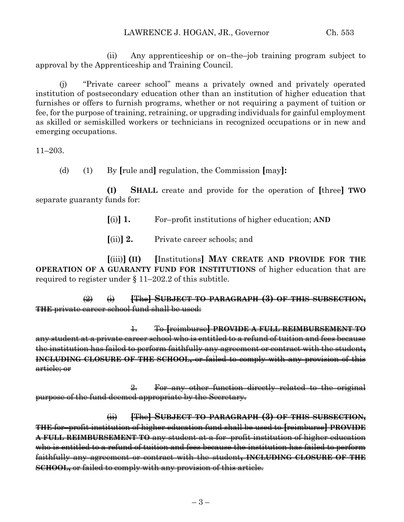(ii) Any apprenticeship or on–the–job training program subject to approval by the Apprenticeship and Training Council.

(j) "Private career school" means a privately owned and privately operated institution of postsecondary education other than an institution of higher education that furnishes or offers to furnish programs, whether or not requiring a payment of tuition or fee, for the purpose of training, retraining, or upgrading individuals for gainful employment as skilled or semiskilled workers or technicians in recognized occupations or in new and emerging occupations.

11–203.

(d) (1) By **[**rule and**]** regulation, the Commission **[**may**]:**

**(I) SHALL** create and provide for the operation of **[**three**] TWO** separate guaranty funds for:

**[**(i)**] 1.** For–profit institutions of higher education; **AND**

**[**(ii)**] 2.** Private career schools; and

**[**(iii)**] (II) [**Institutions**] MAY CREATE AND PROVIDE FOR THE OPERATION OF A GUARANTY FUND FOR INSTITUTIONS** of higher education that are required to register under § 11–202.2 of this subtitle.

(2) (i) **[**The**] SUBJECT TO PARAGRAPH (3) OF THIS SUBSECTION, THE** private career school fund shall be used:

1. To **[**reimburse**] PROVIDE A FULL REIMBURSEMENT TO** any student at a private career school who is entitled to a refund of tuition and fees because the institution has failed to perform faithfully any agreement or contract with the student**, INCLUDING CLOSURE OF THE SCHOOL,** or failed to comply with any provision of this article; or

2. For any other function directly related to the original purpose of the fund deemed appropriate by the Secretary.

(ii) **[**The**] SUBJECT TO PARAGRAPH (3) OF THIS SUBSECTION, THE** for–profit institution of higher education fund shall be used to **[**reimburse**] PROVIDE A FULL REIMBURSEMENT TO** any student at a for–profit institution of higher education who is entitled to a refund of tuition and fees because the institution has failed to perform faithfully any agreement or contract with the student**, INCLUDING CLOSURE OF THE SCHOOL,** or failed to comply with any provision of this article.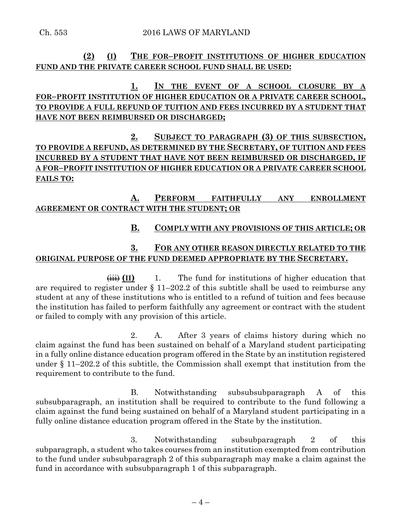### **(2) (I) THE FOR–PROFIT INSTITUTIONS OF HIGHER EDUCATION FUND AND THE PRIVATE CAREER SCHOOL FUND SHALL BE USED:**

# **1. IN THE EVENT OF A SCHOOL CLOSURE BY A FOR–PROFIT INSTITUTION OF HIGHER EDUCATION OR A PRIVATE CAREER SCHOOL, TO PROVIDE A FULL REFUND OF TUITION AND FEES INCURRED BY A STUDENT THAT HAVE NOT BEEN REIMBURSED OR DISCHARGED;**

# **2. SUBJECT TO PARAGRAPH (3) OF THIS SUBSECTION, TO PROVIDE A REFUND, AS DETERMINED BY THE SECRETARY, OF TUITION AND FEES INCURRED BY A STUDENT THAT HAVE NOT BEEN REIMBURSED OR DISCHARGED, IF A FOR–PROFIT INSTITUTION OF HIGHER EDUCATION OR A PRIVATE CAREER SCHOOL FAILS TO:**

### **A. PERFORM FAITHFULLY ANY ENROLLMENT AGREEMENT OR CONTRACT WITH THE STUDENT; OR**

#### **B. COMPLY WITH ANY PROVISIONS OF THIS ARTICLE; OR**

# **3. FOR ANY OTHER REASON DIRECTLY RELATED TO THE ORIGINAL PURPOSE OF THE FUND DEEMED APPROPRIATE BY THE SECRETARY.**

 $\overrightarrow{lim}$  (II) 1. The fund for institutions of higher education that are required to register under  $\S$  11–202.2 of this subtitle shall be used to reimburse any student at any of these institutions who is entitled to a refund of tuition and fees because the institution has failed to perform faithfully any agreement or contract with the student or failed to comply with any provision of this article.

2. A. After 3 years of claims history during which no claim against the fund has been sustained on behalf of a Maryland student participating in a fully online distance education program offered in the State by an institution registered under § 11–202.2 of this subtitle, the Commission shall exempt that institution from the requirement to contribute to the fund.

B. Notwithstanding subsubsubparagraph A of this subsubparagraph, an institution shall be required to contribute to the fund following a claim against the fund being sustained on behalf of a Maryland student participating in a fully online distance education program offered in the State by the institution.

3. Notwithstanding subsubparagraph 2 of this subparagraph, a student who takes courses from an institution exempted from contribution to the fund under subsubparagraph 2 of this subparagraph may make a claim against the fund in accordance with subsubparagraph 1 of this subparagraph.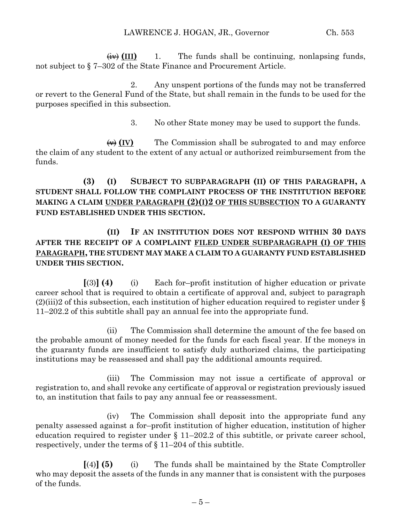$\overline{f(x)}$  (III) 1. The funds shall be continuing, nonlapsing funds, not subject to § 7–302 of the State Finance and Procurement Article.

2. Any unspent portions of the funds may not be transferred or revert to the General Fund of the State, but shall remain in the funds to be used for the purposes specified in this subsection.

3. No other State money may be used to support the funds.

 $\overleftrightarrow{(v)}$  (IV) The Commission shall be subrogated to and may enforce the claim of any student to the extent of any actual or authorized reimbursement from the funds.

# **(3) (I) SUBJECT TO SUBPARAGRAPH (II) OF THIS PARAGRAPH, A STUDENT SHALL FOLLOW THE COMPLAINT PROCESS OF THE INSTITUTION BEFORE MAKING A CLAIM UNDER PARAGRAPH (2)(I)2 OF THIS SUBSECTION TO A GUARANTY FUND ESTABLISHED UNDER THIS SECTION.**

# **(II) IF AN INSTITUTION DOES NOT RESPOND WITHIN 30 DAYS AFTER THE RECEIPT OF A COMPLAINT FILED UNDER SUBPARAGRAPH (I) OF THIS PARAGRAPH, THE STUDENT MAY MAKE A CLAIM TO A GUARANTY FUND ESTABLISHED UNDER THIS SECTION.**

**[**(3)**] (4)** (i) Each for–profit institution of higher education or private career school that is required to obtain a certificate of approval and, subject to paragraph  $(2)(iii)2$  of this subsection, each institution of higher education required to register under § 11–202.2 of this subtitle shall pay an annual fee into the appropriate fund.

(ii) The Commission shall determine the amount of the fee based on the probable amount of money needed for the funds for each fiscal year. If the moneys in the guaranty funds are insufficient to satisfy duly authorized claims, the participating institutions may be reassessed and shall pay the additional amounts required.

(iii) The Commission may not issue a certificate of approval or registration to, and shall revoke any certificate of approval or registration previously issued to, an institution that fails to pay any annual fee or reassessment.

(iv) The Commission shall deposit into the appropriate fund any penalty assessed against a for–profit institution of higher education, institution of higher education required to register under § 11–202.2 of this subtitle, or private career school, respectively, under the terms of § 11–204 of this subtitle.

**[**(4)**] (5)** (i) The funds shall be maintained by the State Comptroller who may deposit the assets of the funds in any manner that is consistent with the purposes of the funds.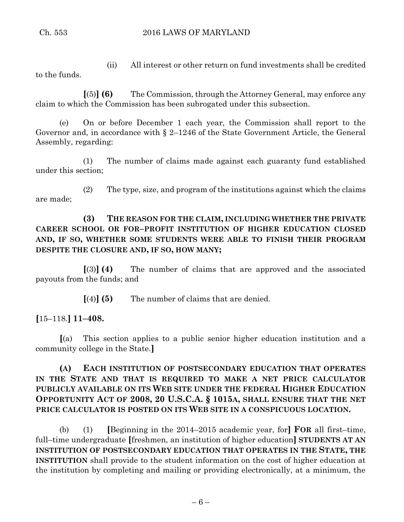(ii) All interest or other return on fund investments shall be credited to the funds.

**[**(5)**] (6)** The Commission, through the Attorney General, may enforce any claim to which the Commission has been subrogated under this subsection.

(e) On or before December 1 each year, the Commission shall report to the Governor and, in accordance with § 2–1246 of the State Government Article, the General Assembly, regarding:

(1) The number of claims made against each guaranty fund established under this section;

(2) The type, size, and program of the institutions against which the claims are made;

# **(3) THE REASON FOR THE CLAIM, INCLUDING WHETHER THE PRIVATE CAREER SCHOOL OR FOR–PROFIT INSTITUTION OF HIGHER EDUCATION CLOSED AND, IF SO, WHETHER SOME STUDENTS WERE ABLE TO FINISH THEIR PROGRAM DESPITE THE CLOSURE AND, IF SO, HOW MANY;**

**[**(3)**] (4)** The number of claims that are approved and the associated payouts from the funds; and

**[**(4)**] (5)** The number of claims that are denied.

**[**15–118.**] 11–408.**

**[**(a) This section applies to a public senior higher education institution and a community college in the State.**]**

# **(A) EACH INSTITUTION OF POSTSECONDARY EDUCATION THAT OPERATES IN THE STATE AND THAT IS REQUIRED TO MAKE A NET PRICE CALCULATOR PUBLICLY AVAILABLE ON ITS WEB SITE UNDER THE FEDERAL HIGHER EDUCATION OPPORTUNITY ACT OF 2008, 20 U.S.C.A. § 1015A, SHALL ENSURE THAT THE NET PRICE CALCULATOR IS POSTED ON ITS WEB SITE IN A CONSPICUOUS LOCATION.**

(b) (1) **[**Beginning in the 2014–2015 academic year, for**] FOR** all first–time, full–time undergraduate **[**freshmen, an institution of higher education**] STUDENTS AT AN INSTITUTION OF POSTSECONDARY EDUCATION THAT OPERATES IN THE STATE, THE INSTITUTION** shall provide to the student information on the cost of higher education at the institution by completing and mailing or providing electronically, at a minimum, the